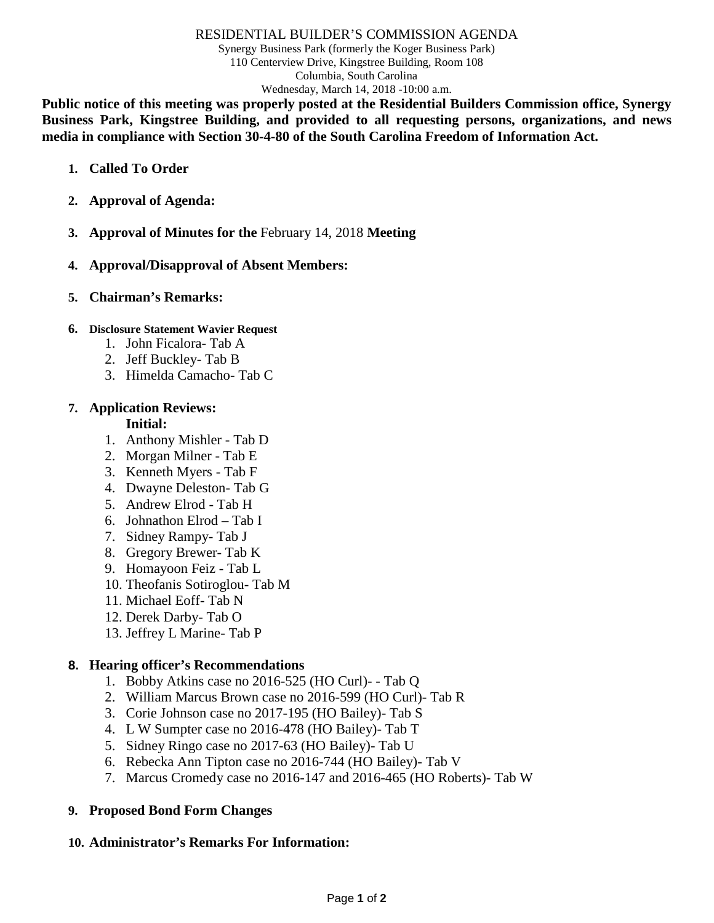#### RESIDENTIAL BUILDER'S COMMISSION AGENDA

Synergy Business Park (formerly the Koger Business Park) 110 Centerview Drive, Kingstree Building, Room 108 Columbia, South Carolina Wednesday, March 14, 2018 -10:00 a.m.

**Public notice of this meeting was properly posted at the Residential Builders Commission office, Synergy Business Park, Kingstree Building, and provided to all requesting persons, organizations, and news media in compliance with Section 30-4-80 of the South Carolina Freedom of Information Act.**

- **1. Called To Order**
- **2. Approval of Agenda:**
- **3. Approval of Minutes for the** February 14, 2018 **Meeting**
- **4. Approval/Disapproval of Absent Members:**
- **5. Chairman's Remarks:**

#### **6. Disclosure Statement Wavier Request**

- 1. John Ficalora- Tab A
- 2. Jeff Buckley- Tab B
- 3. Himelda Camacho- Tab C

### **7. Application Reviews:**

#### **Initial:**

- 1. Anthony Mishler Tab D
- 2. Morgan Milner Tab E
- 3. Kenneth Myers Tab F
- 4. Dwayne Deleston- Tab G
- 5. Andrew Elrod Tab H
- 6. Johnathon Elrod Tab I
- 7. Sidney Rampy- Tab J
- 8. Gregory Brewer- Tab K
- 9. Homayoon Feiz Tab L
- 10. Theofanis Sotiroglou- Tab M
- 11. Michael Eoff- Tab N
- 12. Derek Darby- Tab O
- 13. Jeffrey L Marine- Tab P

#### **8. Hearing officer's Recommendations**

- 1. Bobby Atkins case no 2016-525 (HO Curl)- Tab Q
- 2. William Marcus Brown case no 2016-599 (HO Curl)- Tab R
- 3. Corie Johnson case no 2017-195 (HO Bailey)- Tab S
- 4. L W Sumpter case no 2016-478 (HO Bailey)- Tab T
- 5. Sidney Ringo case no 2017-63 (HO Bailey)- Tab U
- 6. Rebecka Ann Tipton case no 2016-744 (HO Bailey)- Tab V
- 7. Marcus Cromedy case no 2016-147 and 2016-465 (HO Roberts)- Tab W

#### **9. Proposed Bond Form Changes**

#### **10. Administrator's Remarks For Information:**